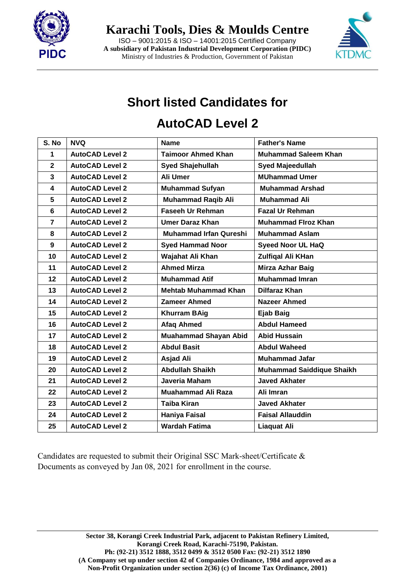

**Karachi Tools, Dies & Moulds Centre**

ISO – 9001:2015 & ISO – 14001:2015 Certified Company **A subsidiary of Pakistan Industrial Development Corporation (PIDC)** Ministry of Industries & Production, Government of Pakistan



# **Short listed Candidates for**

#### **AutoCAD Level 2**

| S. No            | <b>NVQ</b>             | <b>Name</b>                   | <b>Father's Name</b>             |  |
|------------------|------------------------|-------------------------------|----------------------------------|--|
| 1                | <b>AutoCAD Level 2</b> | <b>Taimoor Ahmed Khan</b>     | <b>Muhammad Saleem Khan</b>      |  |
| $\overline{2}$   | <b>AutoCAD Level 2</b> | <b>Syed Shajehullah</b>       | <b>Syed Majeedullah</b>          |  |
| 3                | <b>AutoCAD Level 2</b> | Ali Umer                      | <b>MUhammad Umer</b>             |  |
| 4                | <b>AutoCAD Level 2</b> | <b>Muhammad Sufyan</b>        | <b>Muhammad Arshad</b>           |  |
| 5                | <b>AutoCAD Level 2</b> | <b>Muhammad Raqib Ali</b>     | <b>Muhammad Ali</b>              |  |
| $6\phantom{1}$   | <b>AutoCAD Level 2</b> | <b>Faseeh Ur Rehman</b>       | <b>Fazal Ur Rehman</b>           |  |
| $\overline{7}$   | <b>AutoCAD Level 2</b> | <b>Umer Daraz Khan</b>        | <b>Muhammad Firoz Khan</b>       |  |
| 8                | <b>AutoCAD Level 2</b> | <b>Muhammad Irfan Qureshi</b> | <b>Muhammad Aslam</b>            |  |
| $\boldsymbol{9}$ | <b>AutoCAD Level 2</b> | <b>Syed Hammad Noor</b>       | <b>Syeed Noor UL HaQ</b>         |  |
| 10               | <b>AutoCAD Level 2</b> | Wajahat Ali Khan              | <b>Zulfigal Ali KHan</b>         |  |
| 11               | <b>AutoCAD Level 2</b> | <b>Ahmed Mirza</b>            | <b>Mirza Azhar Baig</b>          |  |
| 12               | <b>AutoCAD Level 2</b> | <b>Muhammad Atif</b>          | <b>Muhammad Imran</b>            |  |
| 13               | <b>AutoCAD Level 2</b> | <b>Mehtab Muhammad Khan</b>   | <b>Dilfaraz Khan</b>             |  |
| 14               | <b>AutoCAD Level 2</b> | <b>Zameer Ahmed</b>           | <b>Nazeer Ahmed</b>              |  |
| 15               | <b>AutoCAD Level 2</b> | <b>Khurram BAig</b>           | <b>Ejab Baig</b>                 |  |
| 16               | <b>AutoCAD Level 2</b> | <b>Afaq Ahmed</b>             | <b>Abdul Hameed</b>              |  |
| 17               | <b>AutoCAD Level 2</b> | <b>Muahammad Shayan Abid</b>  | <b>Abid Hussain</b>              |  |
| 18               | <b>AutoCAD Level 2</b> | <b>Abdul Basit</b>            | <b>Abdul Waheed</b>              |  |
| 19               | <b>AutoCAD Level 2</b> | <b>Asjad Ali</b>              | <b>Muhammad Jafar</b>            |  |
| 20               | <b>AutoCAD Level 2</b> | <b>Abdullah Shaikh</b>        | <b>Muhammad Saiddique Shaikh</b> |  |
| 21               | <b>AutoCAD Level 2</b> | Javeria Maham                 | <b>Javed Akhater</b>             |  |
| 22               | <b>AutoCAD Level 2</b> | <b>Muahammad Ali Raza</b>     | Ali Imran                        |  |
| 23               | <b>AutoCAD Level 2</b> | <b>Taiba Kiran</b>            | <b>Javed Akhater</b>             |  |
| 24               | <b>AutoCAD Level 2</b> | <b>Haniya Faisal</b>          | <b>Faisal Allauddin</b>          |  |
| 25               | <b>AutoCAD Level 2</b> | <b>Wardah Fatima</b>          | <b>Liaquat Ali</b>               |  |

Candidates are requested to submit their Original SSC Mark-sheet/Certificate & Documents as conveyed by Jan 08, 2021 for enrollment in the course.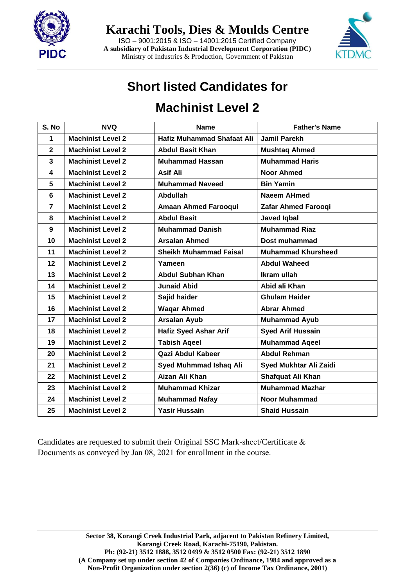

**Karachi Tools, Dies & Moulds Centre**

ISO – 9001:2015 & ISO – 14001:2015 Certified Company **A subsidiary of Pakistan Industrial Development Corporation (PIDC)** Ministry of Industries & Production, Government of Pakistan



### **Short listed Candidates for**

### **Machinist Level 2**

| S. No          | <b>NVQ</b>               | <b>Name</b>                       | <b>Father's Name</b>      |  |
|----------------|--------------------------|-----------------------------------|---------------------------|--|
| 1              | <b>Machinist Level 2</b> | <b>Hafiz Muhammad Shafaat Ali</b> | <b>Jamil Parekh</b>       |  |
| $\mathbf 2$    | <b>Machinist Level 2</b> | <b>Abdul Basit Khan</b>           | <b>Mushtag Ahmed</b>      |  |
| 3              | <b>Machinist Level 2</b> | <b>Muhammad Hassan</b>            | <b>Muhammad Haris</b>     |  |
| 4              | <b>Machinist Level 2</b> | Asif Ali                          | <b>Noor Ahmed</b>         |  |
| 5              | <b>Machinist Level 2</b> | <b>Muhammad Naveed</b>            | <b>Bin Yamin</b>          |  |
| 6              | <b>Machinist Level 2</b> | <b>Abdullah</b>                   | <b>Naeem AHmed</b>        |  |
| $\overline{7}$ | <b>Machinist Level 2</b> | <b>Amaan Ahmed Farooqui</b>       | Zafar Ahmed Farooqi       |  |
| 8              | <b>Machinist Level 2</b> | <b>Abdul Basit</b>                | <b>Javed Iqbal</b>        |  |
| 9              | <b>Machinist Level 2</b> | <b>Muhammad Danish</b>            | <b>Muhammad Riaz</b>      |  |
| 10             | <b>Machinist Level 2</b> | <b>Arsalan Ahmed</b>              | Dost muhammad             |  |
| 11             | <b>Machinist Level 2</b> | <b>Sheikh Muhammad Faisal</b>     | <b>Muhammad Khursheed</b> |  |
| 12             | <b>Machinist Level 2</b> | Yameen                            | <b>Abdul Waheed</b>       |  |
| 13             | <b>Machinist Level 2</b> | <b>Abdul Subhan Khan</b>          | Ikram ullah               |  |
| 14             | <b>Machinist Level 2</b> | <b>Junaid Abid</b>                | Abid ali Khan             |  |
| 15             | <b>Machinist Level 2</b> | Sajid haider                      | <b>Ghulam Haider</b>      |  |
| 16             | <b>Machinist Level 2</b> | <b>Wagar Ahmed</b>                | <b>Abrar Ahmed</b>        |  |
| 17             | <b>Machinist Level 2</b> | <b>Arsalan Ayub</b>               | <b>Muhammad Ayub</b>      |  |
| 18             | <b>Machinist Level 2</b> | <b>Hafiz Syed Ashar Arif</b>      | <b>Syed Arif Hussain</b>  |  |
| 19             | <b>Machinist Level 2</b> | <b>Tabish Ageel</b>               | <b>Muhammad Aqeel</b>     |  |
| 20             | <b>Machinist Level 2</b> | Qazi Abdul Kabeer                 | <b>Abdul Rehman</b>       |  |
| 21             | <b>Machinist Level 2</b> | Syed Muhmmad Ishaq Ali            | Syed Mukhtar Ali Zaidi    |  |
| 22             | <b>Machinist Level 2</b> | Aizan Ali Khan                    | Shafquat Ali Khan         |  |
| 23             | <b>Machinist Level 2</b> | <b>Muhammad Khizar</b>            | <b>Muhammad Mazhar</b>    |  |
| 24             | <b>Machinist Level 2</b> | <b>Muhammad Nafay</b>             | <b>Noor Muhammad</b>      |  |
| 25             | <b>Machinist Level 2</b> | <b>Yasir Hussain</b>              | <b>Shaid Hussain</b>      |  |

Candidates are requested to submit their Original SSC Mark-sheet/Certificate & Documents as conveyed by Jan 08, 2021 for enrollment in the course.